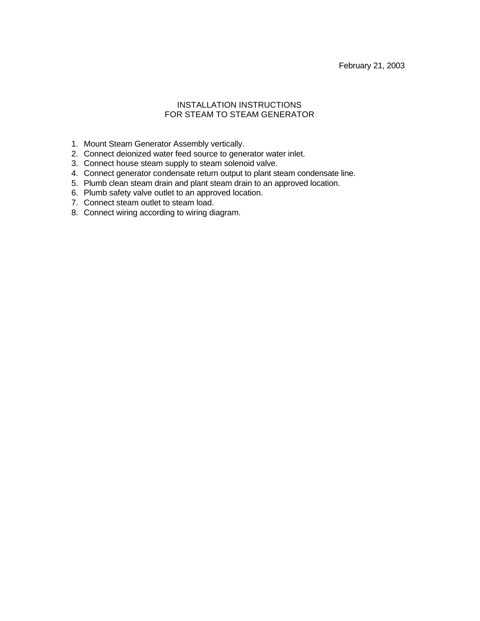### INSTALLATION INSTRUCTIONS FOR STEAM TO STEAM GENERATOR

- 1. Mount Steam Generator Assembly vertically.
- 2. Connect deionized water feed source to generator water inlet.
- 3. Connect house steam supply to steam solenoid valve.
- 4. Connect generator condensate return output to plant steam condensate line.
- 5. Plumb clean steam drain and plant steam drain to an approved location.
- 6. Plumb safety valve outlet to an approved location.
- 7. Connect steam outlet to steam load.
- 8. Connect wiring according to wiring diagram.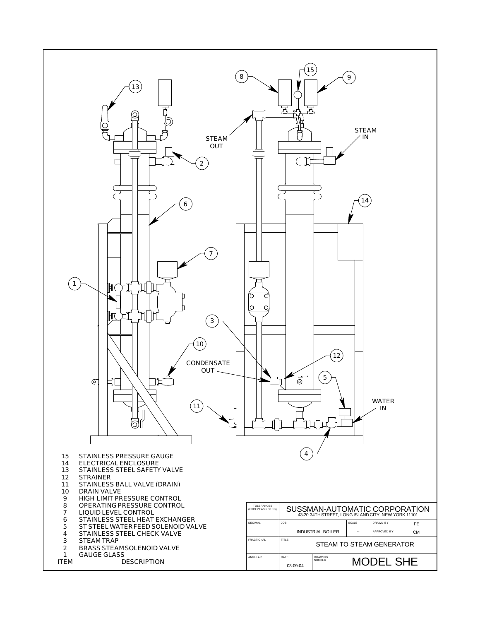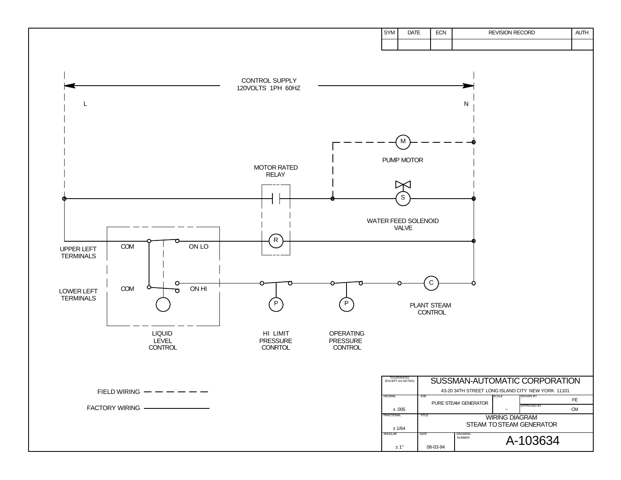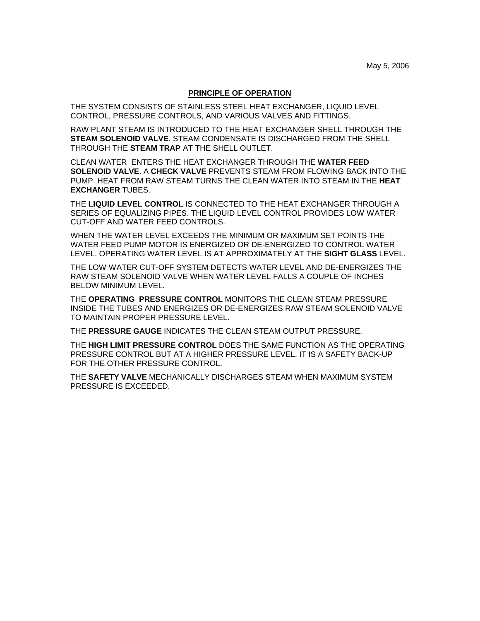#### **PRINCIPLE OF OPERATION**

THE SYSTEM CONSISTS OF STAINLESS STEEL HEAT EXCHANGER, LIQUID LEVEL CONTROL, PRESSURE CONTROLS, AND VARIOUS VALVES AND FITTINGS.

RAW PLANT STEAM IS INTRODUCED TO THE HEAT EXCHANGER SHELL THROUGH THE **STEAM SOLENOID VALVE**. STEAM CONDENSATE IS DISCHARGED FROM THE SHELL THROUGH THE **STEAM TRAP** AT THE SHELL OUTLET.

CLEAN WATER ENTERS THE HEAT EXCHANGER THROUGH THE **WATER FEED SOLENOID VALVE**. A **CHECK VALVE** PREVENTS STEAM FROM FLOWING BACK INTO THE PUMP. HEAT FROM RAW STEAM TURNS THE CLEAN WATER INTO STEAM IN THE **HEAT EXCHANGER** TUBES.

THE **LIQUID LEVEL CONTROL** IS CONNECTED TO THE HEAT EXCHANGER THROUGH A SERIES OF EQUALIZING PIPES. THE LIQUID LEVEL CONTROL PROVIDES LOW WATER CUT-OFF AND WATER FEED CONTROLS.

WHEN THE WATER LEVEL EXCEEDS THE MINIMUM OR MAXIMUM SET POINTS THE WATER FEED PUMP MOTOR IS ENERGIZED OR DE-ENERGIZED TO CONTROL WATER LEVEL. OPERATING WATER LEVEL IS AT APPROXIMATELY AT THE **SIGHT GLASS** LEVEL.

THE LOW WATER CUT-OFF SYSTEM DETECTS WATER LEVEL AND DE-ENERGIZES THE RAW STEAM SOLENOID VALVE WHEN WATER LEVEL FALLS A COUPLE OF INCHES BELOW MINIMUM LEVEL.

THE **OPERATING PRESSURE CONTROL** MONITORS THE CLEAN STEAM PRESSURE INSIDE THE TUBES AND ENERGIZES OR DE-ENERGIZES RAW STEAM SOLENOID VALVE TO MAINTAIN PROPER PRESSURE LEVEL.

THE **PRESSURE GAUGE** INDICATES THE CLEAN STEAM OUTPUT PRESSURE.

THE **HIGH LIMIT PRESSURE CONTROL** DOES THE SAME FUNCTION AS THE OPERATING PRESSURE CONTROL BUT AT A HIGHER PRESSURE LEVEL. IT IS A SAFETY BACK-UP FOR THE OTHER PRESSURE CONTROL.

THE **SAFETY VALVE** MECHANICALLY DISCHARGES STEAM WHEN MAXIMUM SYSTEM PRESSURE IS EXCEEDED.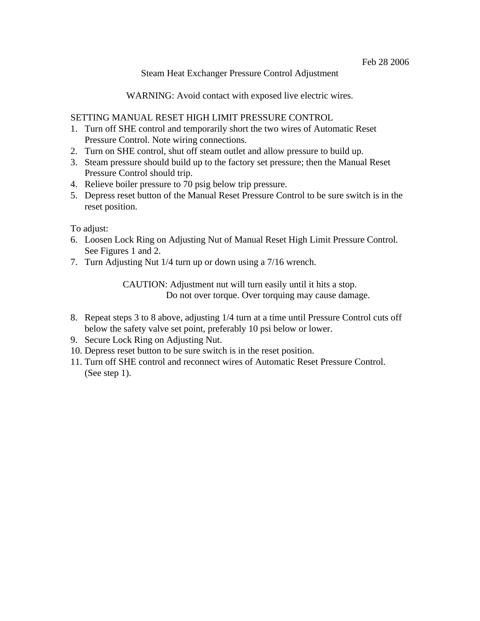#### Steam Heat Exchanger Pressure Control Adjustment

WARNING: Avoid contact with exposed live electric wires.

### SETTING MANUAL RESET HIGH LIMIT PRESSURE CONTROL

- 1. Turn off SHE control and temporarily short the two wires of Automatic Reset Pressure Control. Note wiring connections.
- 2. Turn on SHE control, shut off steam outlet and allow pressure to build up.
- 3. Steam pressure should build up to the factory set pressure; then the Manual Reset Pressure Control should trip.
- 4. Relieve boiler pressure to 70 psig below trip pressure.
- 5. Depress reset button of the Manual Reset Pressure Control to be sure switch is in the reset position.

To adjust:

- 6. Loosen Lock Ring on Adjusting Nut of Manual Reset High Limit Pressure Control. See Figures 1 and 2.
- 7. Turn Adjusting Nut 1/4 turn up or down using a 7/16 wrench.

CAUTION: Adjustment nut will turn easily until it hits a stop. Do not over torque. Over torquing may cause damage.

- 8. Repeat steps 3 to 8 above, adjusting 1/4 turn at a time until Pressure Control cuts off below the safety valve set point, preferably 10 psi below or lower.
- 9. Secure Lock Ring on Adjusting Nut.
- 10. Depress reset button to be sure switch is in the reset position.
- 11. Turn off SHE control and reconnect wires of Automatic Reset Pressure Control. (See step 1).